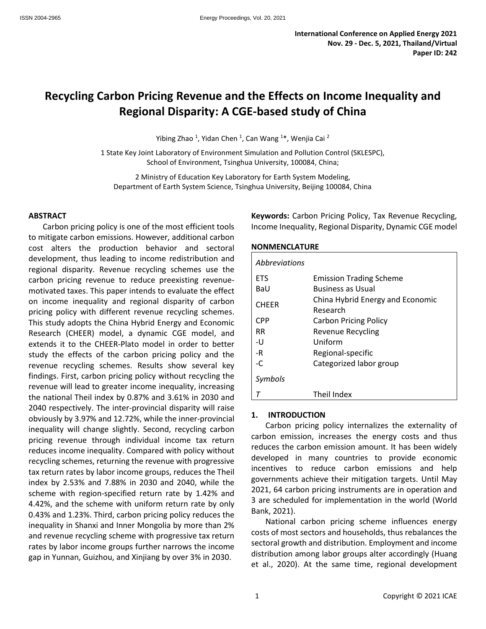# **Recycling Carbon Pricing Revenue and the Effects on Income Inequality and Regional Disparity: A CGE-based study of China**

Yibing Zhao <sup>1</sup>, Yidan Chen <sup>1</sup>, Can Wang <sup>1\*</sup>, Wenjia Cai <sup>2</sup>

1 State Key Joint Laboratory of Environment Simulation and Pollution Control (SKLESPC), School of Environment, Tsinghua University, 100084, China;

2 Ministry of Education Key Laboratory for Earth System Modeling, Department of Earth System Science, Tsinghua University, Beijing 100084, China

#### **ABSTRACT**

Carbon pricing policy is one of the most efficient tools to mitigate carbon emissions. However, additional carbon cost alters the production behavior and sectoral development, thus leading to income redistribution and regional disparity. Revenue recycling schemes use the carbon pricing revenue to reduce preexisting revenuemotivated taxes. This paper intends to evaluate the effect on income inequality and regional disparity of carbon pricing policy with different revenue recycling schemes. This study adopts the China Hybrid Energy and Economic Research (CHEER) model, a dynamic CGE model, and extends it to the CHEER-Plato model in order to better study the effects of the carbon pricing policy and the revenue recycling schemes. Results show several key findings. First, carbon pricing policy without recycling the revenue will lead to greater income inequality, increasing the national Theil index by 0.87% and 3.61% in 2030 and 2040 respectively. The inter-provincial disparity will raise obviously by 3.97% and 12.72%, while the inner-provincial inequality will change slightly. Second, recycling carbon pricing revenue through individual income tax return reduces income inequality. Compared with policy without recycling schemes, returning the revenue with progressive tax return rates by labor income groups, reduces the Theil index by 2.53% and 7.88% in 2030 and 2040, while the scheme with region-specified return rate by 1.42% and 4.42%, and the scheme with uniform return rate by only 0.43% and 1.23%. Third, carbon pricing policy reduces the inequality in Shanxi and Inner Mongolia by more than 2% and revenue recycling scheme with progressive tax return rates by labor income groups further narrows the income gap in Yunnan, Guizhou, and Xinjiang by over 3% in 2030.

**Keywords:** Carbon Pricing Policy, Tax Revenue Recycling, Income Inequality, Regional Disparity, Dynamic CGE model

#### **NONMENCLATURE**

| <b>Abbreviations</b> |                                              |
|----------------------|----------------------------------------------|
| <b>ETS</b>           | <b>Emission Trading Scheme</b>               |
| BaU                  | <b>Business as Usual</b>                     |
| <b>CHEER</b>         | China Hybrid Energy and Economic<br>Research |
| <b>CPP</b>           | <b>Carbon Pricing Policy</b>                 |
| <b>RR</b>            | Revenue Recycling                            |
| -U                   | Uniform                                      |
| -R                   | Regional-specific                            |
| $-C$                 | Categorized labor group                      |
| Symbols              |                                              |
|                      | Theil Index                                  |

#### **1. INTRODUCTION**

Carbon pricing policy internalizes the externality of carbon emission, increases the energy costs and thus reduces the carbon emission amount. It has been widely developed in many countries to provide economic incentives to reduce carbon emissions and help governments achieve their mitigation targets. Until May 2021, 64 carbon pricing instruments are in operation and 3 are scheduled for implementation in the world (World Bank, 2021).

National carbon pricing scheme influences energy costs of most sectors and households, thus rebalances the sectoral growth and distribution. Employment and income distribution among labor groups alter accordingly (Huang et al., 2020). At the same time, regional development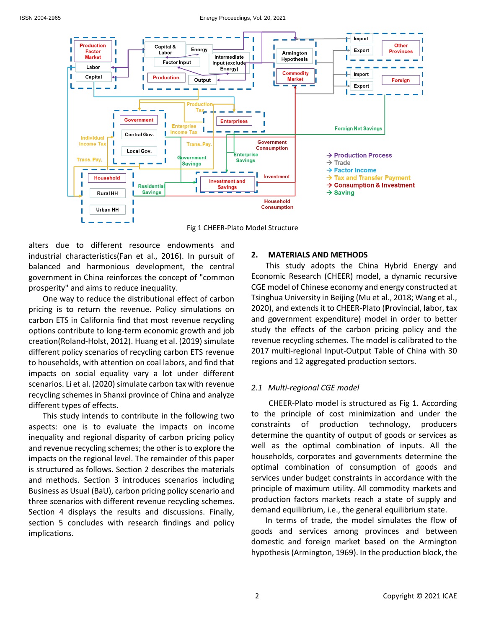

Fig 1 CHEER-Plato Model Structure

alters due to different resource endowments and industrial characteristics(Fan et al., 2016). In pursuit of balanced and harmonious development, the central government in China reinforces the concept of "common prosperity" and aims to reduce inequality.

One way to reduce the distributional effect of carbon pricing is to return the revenue. Policy simulations on carbon ETS in California find that most revenue recycling options contribute to long-term economic growth and job creation(Roland-Holst, 2012). Huang et al. (2019) simulate different policy scenarios of recycling carbon ETS revenue to households, with attention on coal labors, and find that impacts on social equality vary a lot under different scenarios. Li et al. (2020) simulate carbon tax with revenue recycling schemes in Shanxi province of China and analyze different types of effects.

This study intends to contribute in the following two aspects: one is to evaluate the impacts on income inequality and regional disparity of carbon pricing policy and revenue recycling schemes; the other is to explore the impacts on the regional level. The remainder of this paper is structured as follows. Section 2 describes the materials and methods. Section 3 introduces scenarios including Business as Usual (BaU), carbon pricing policy scenario and three scenarios with different revenue recycling schemes. Section 4 displays the results and discussions. Finally, section 5 concludes with research findings and policy implications.

# **2. MATERIALS AND METHODS**

This study adopts the China Hybrid Energy and Economic Research (CHEER) model, a dynamic recursive CGE model of Chinese economy and energy constructed at Tsinghua University in Beijing (Mu et al., 2018; Wang et al., 2020), and extends it to CHEER-Plato (**P**rovincial, **la**bor, **t**ax and g**o**vernment expenditure) model in order to better study the effects of the carbon pricing policy and the revenue recycling schemes. The model is calibrated to the 2017 multi-regional Input-Output Table of China with 30 regions and 12 aggregated production sectors.

## *2.1 Multi-regional CGE model*

CHEER-Plato model is structured as Fig 1. According to the principle of cost minimization and under the constraints of production technology, producers determine the quantity of output of goods or services as well as the optimal combination of inputs. All the households, corporates and governments determine the optimal combination of consumption of goods and services under budget constraints in accordance with the principle of maximum utility. All commodity markets and production factors markets reach a state of supply and demand equilibrium, i.e., the general equilibrium state.

In terms of trade, the model simulates the flow of goods and services among provinces and between domestic and foreign market based on the Armington hypothesis(Armington, 1969). In the production block, the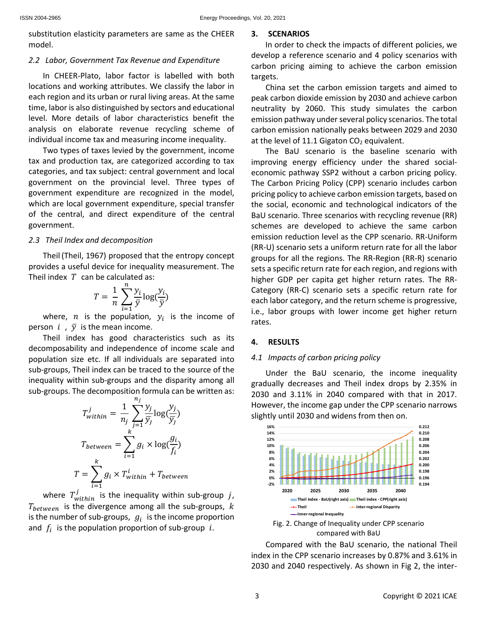substitution elasticity parameters are same as the CHEER model.

#### *2.2 Labor, Government Tax Revenue and Expenditure*

In CHEER-Plato, labor factor is labelled with both locations and working attributes. We classify the labor in each region and its urban or rural living areas. At the same time, labor is also distinguished by sectors and educational level. More details of labor characteristics benefit the analysis on elaborate revenue recycling scheme of individual income tax and measuring income inequality.

Two types of taxes levied by the government, income tax and production tax, are categorized according to tax categories, and tax subject: central government and local government on the provincial level. Three types of government expenditure are recognized in the model, which are local government expenditure, special transfer of the central, and direct expenditure of the central government.

#### *2.3 Theil Index and decomposition*

Theil (Theil, 1967) proposed that the entropy concept provides a useful device for inequality measurement. The Theil index  $T$  can be calculated as:

$$
T = \frac{1}{n} \sum_{i=1}^{n} \frac{y_i}{\bar{y}} \log(\frac{y_i}{\bar{y}})
$$

where,  $n$  is the population,  $y_i$  is the income of person  $i$ ,  $\bar{y}$  is the mean income.

Theil index has good characteristics such as its decomposability and independence of income scale and population size etc. If all individuals are separated into sub-groups, Theil index can be traced to the source of the inequality within sub-groups and the disparity among all sub-groups. The decomposition formula can be written as:

$$
T_{within}^j = \frac{1}{n_j} \sum_{j=1}^{n_j} \frac{y_j}{\overline{y}_j} \log(\frac{y_j}{\overline{y}_j})
$$

$$
T_{between} = \sum_{i=1}^{k} g_i \times \log(\frac{g_i}{f_i})
$$

$$
T = \sum_{i=1}^{k} g_i \times T_{within}^i + T_{between}
$$

where  $T_{within}^{j}$  is the inequality within sub-group  $j$ ,  $T_{between}$  is the divergence among all the sub-groups,  $k$ is the number of sub-groups,  $g_i$  is the income proportion and  $f_i$  is the population proportion of sub-group  $i$ .

#### **3. SCENARIOS**

In order to check the impacts of different policies, we develop a reference scenario and 4 policy scenarios with carbon pricing aiming to achieve the carbon emission targets.

China set the carbon emission targets and aimed to peak carbon dioxide emission by 2030 and achieve carbon neutrality by 2060. This study simulates the carbon emission pathway under several policy scenarios. The total carbon emission nationally peaks between 2029 and 2030 at the level of 11.1 Gigaton  $CO<sub>2</sub>$  equivalent.

The BaU scenario is the baseline scenario with improving energy efficiency under the shared socialeconomic pathway SSP2 without a carbon pricing policy. The Carbon Pricing Policy (CPP) scenario includes carbon pricing policy to achieve carbon emission targets, based on the social, economic and technological indicators of the BaU scenario. Three scenarios with recycling revenue (RR) schemes are developed to achieve the same carbon emission reduction level as the CPP scenario. RR-Uniform (RR-U) scenario sets a uniform return rate for all the labor groups for all the regions. The RR-Region (RR-R) scenario sets a specific return rate for each region, and regions with higher GDP per capita get higher return rates. The RR-Category (RR-C) scenario sets a specific return rate for each labor category, and the return scheme is progressive, i.e., labor groups with lower income get higher return rates.

#### **4. RESULTS**

#### *4.1 Impacts of carbon pricing policy*

Under the BaU scenario, the income inequality gradually decreases and Theil index drops by 2.35% in 2030 and 3.11% in 2040 compared with that in 2017. However, the income gap under the CPP scenario narrows slightly until 2030 and widens from then on.



Compared with the BaU scenario, the national Theil index in the CPP scenario increases by 0.87% and 3.61% in 2030 and 2040 respectively. As shown in Fig 2, the inter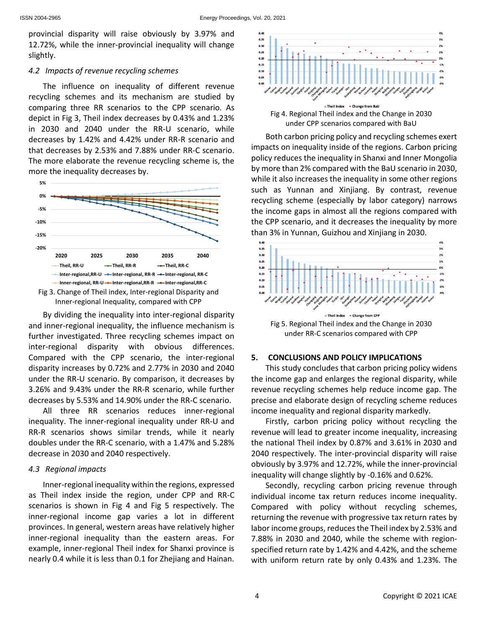provincial disparity will raise obviously by 3.97% and 12.72%, while the inner-provincial inequality will change slightly.

## *4.2 Impacts of revenue recycling schemes*

The influence on inequality of different revenue recycling schemes and its mechanism are studied by comparing three RR scenarios to the CPP scenario. As depict in Fig 3, Theil index decreases by 0.43% and 1.23% in 2030 and 2040 under the RR-U scenario, while decreases by 1.42% and 4.42% under RR-R scenario and that decreases by 2.53% and 7.88% under RR-C scenario. The more elaborate the revenue recycling scheme is, the more the inequality decreases by.



By dividing the inequality into inter-regional disparity and inner-regional inequality, the influence mechanism is further investigated. Three recycling schemes impact on inter-regional disparity with obvious differences. Compared with the CPP scenario, the inter-regional disparity increases by 0.72% and 2.77% in 2030 and 2040 under the RR-U scenario. By comparison, it decreases by 3.26% and 9.43% under the RR-R scenario, while further decreases by 5.53% and 14.90% under the RR-C scenario.

All three RR scenarios reduces inner-regional inequality. The inner-regional inequality under RR-U and RR-R scenarios shows similar trends, while it nearly doubles under the RR-C scenario, with a 1.47% and 5.28% decrease in 2030 and 2040 respectively.

## *4.3 Regional impacts*

Inner-regional inequality within the regions, expressed as Theil index inside the region, under CPP and RR-C scenarios is shown in Fig 4 and Fig 5 respectively. The inner-regional income gap varies a lot in different provinces. In general, western areas have relatively higher inner-regional inequality than the eastern areas. For example, inner-regional Theil index for Shanxi province is nearly 0.4 while it is less than 0.1 for Zhejiang and Hainan.



Both carbon pricing policy and recycling schemes exert impacts on inequality inside of the regions. Carbon pricing policy reduces the inequality in Shanxi and Inner Mongolia by more than 2% compared with the BaU scenario in 2030, while it also increases the inequality in some other regions such as Yunnan and Xinjiang. By contrast, revenue recycling scheme (especially by labor category) narrows the income gaps in almost all the regions compared with the CPP scenario, and it decreases the inequality by more than 3% in Yunnan, Guizhou and Xinjiang in 2030.



## **5. CONCLUSIONS AND POLICY IMPLICATIONS**

This study concludes that carbon pricing policy widens the income gap and enlarges the regional disparity, while revenue recycling schemes help reduce income gap. The precise and elaborate design of recycling scheme reduces income inequality and regional disparity markedly.

Firstly, carbon pricing policy without recycling the revenue will lead to greater income inequality, increasing the national Theil index by 0.87% and 3.61% in 2030 and 2040 respectively. The inter-provincial disparity will raise obviously by 3.97% and 12.72%, while the inner-provincial inequality will change slightly by -0.16% and 0.62%.

Secondly, recycling carbon pricing revenue through individual income tax return reduces income inequality. Compared with policy without recycling schemes, returning the revenue with progressive tax return rates by labor income groups, reduces the Theil index by 2.53% and 7.88% in 2030 and 2040, while the scheme with regionspecified return rate by 1.42% and 4.42%, and the scheme with uniform return rate by only 0.43% and 1.23%. The